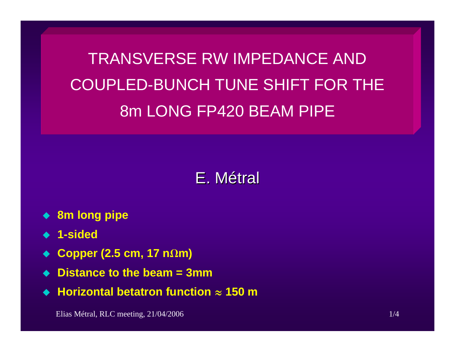TRANSVERSE RW IMPEDANCE AND COUPLED-BUNCH TUNE SHIFT FOR THE 8m LONG FP420 BEAM PIPE

## E.Métral

- **8m long pipe**
- **1-sided**
- ◆ Copper (2.5 cm, 17 nΩm)
- **Distance to the beam = 3mm**
- ◆ Horizontal betatron function  $\approx$  150 m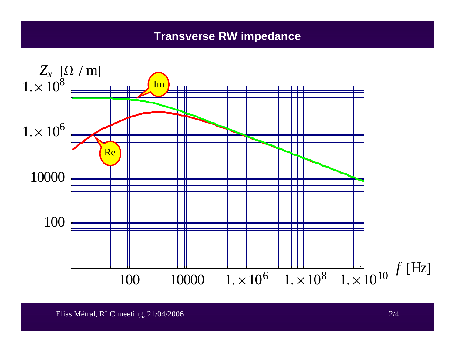## **Transverse RW impedance**

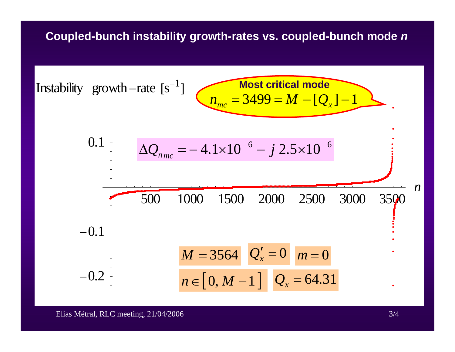## **Coupled-bunch instability growth-rates vs. coupled-bunch mode**  *n*

500 1000 1500 2000 2500 3000 3500 *n*-0.2-0.10.1Instability growth -rates-1= 3499 =[ ] −1 *mcMQ xn***Most critical mode**664.1 10 2.5 10 Δ*Q* =−×*j* ×*nmcn*∈[ 0, *M* 1] *M*= 3564 *Q x*= 64.31 ′ =0*Q xm*=0